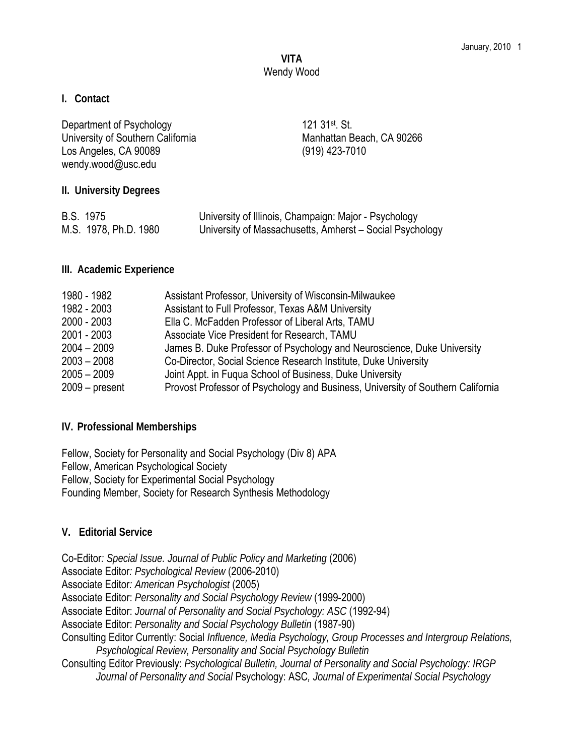# **VITA**  Wendy Wood

#### **I. Contact**

| Department of Psychology<br>University of Southern California<br>Los Angeles, CA 90089<br>wendy.wood@usc.edu | 121 31 <sup>st</sup> , St.<br>Manhattan Beach, CA 90266<br>(919) 423-7010                                         |
|--------------------------------------------------------------------------------------------------------------|-------------------------------------------------------------------------------------------------------------------|
| II. University Degrees                                                                                       |                                                                                                                   |
| <b>B.S. 1975</b><br>M.S. 1978, Ph.D. 1980                                                                    | University of Illinois, Champaign: Major - Psychology<br>University of Massachusetts, Amherst - Social Psychology |

**III. Academic Experience** 

| 1980 - 1982      | Assistant Professor, University of Wisconsin-Milwaukee                          |
|------------------|---------------------------------------------------------------------------------|
| 1982 - 2003      | Assistant to Full Professor, Texas A&M University                               |
| $2000 - 2003$    | Ella C. McFadden Professor of Liberal Arts, TAMU                                |
| 2001 - 2003      | Associate Vice President for Research, TAMU                                     |
| $2004 - 2009$    | James B. Duke Professor of Psychology and Neuroscience, Duke University         |
| $2003 - 2008$    | Co-Director, Social Science Research Institute, Duke University                 |
| $2005 - 2009$    | Joint Appt. in Fuqua School of Business, Duke University                        |
| $2009 - present$ | Provost Professor of Psychology and Business, University of Southern California |

### **IV. Professional Memberships**

Fellow, Society for Personality and Social Psychology (Div 8) APA Fellow, American Psychological Society Fellow, Society for Experimental Social Psychology Founding Member, Society for Research Synthesis Methodology

### **V. Editorial Service**

Co-Editor*: Special Issue. Journal of Public Policy and Marketing* (2006) Associate Editor*: Psychological Review* (2006-2010) Associate Editor*: American Psychologist* (2005) Associate Editor: *Personality and Social Psychology Review* (1999-2000) Associate Editor: *Journal of Personality and Social Psychology: ASC* (1992-94) Associate Editor: *Personality and Social Psychology Bulletin* (1987-90) Consulting Editor Currently: Social *Influence, Media Psychology, Group Processes and Intergroup Relations, Psychological Review, Personality and Social Psychology Bulletin* Consulting Editor Previously: *Psychological Bulletin, Journal of Personality and Social Psychology: IRGP Journal of Personality and Social* Psychology: ASC*, Journal of Experimental Social Psychology*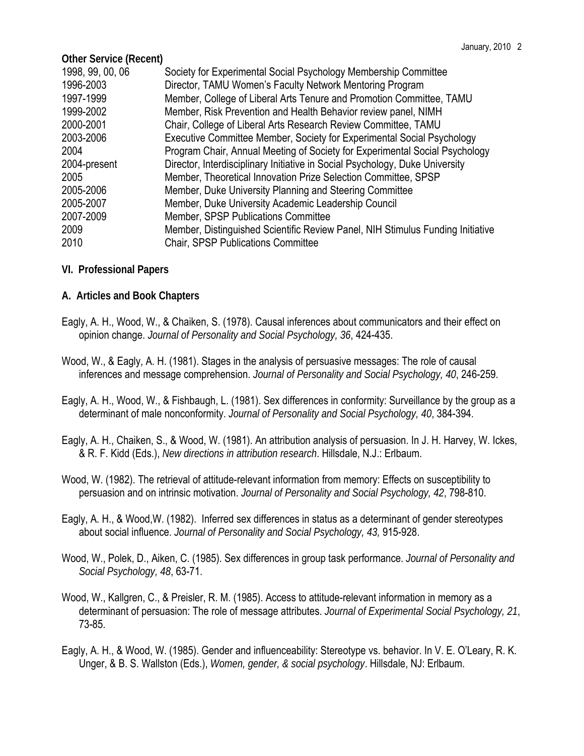| <b>Other Service (Recent)</b>                                                  |
|--------------------------------------------------------------------------------|
| Society for Experimental Social Psychology Membership Committee                |
| Director, TAMU Women's Faculty Network Mentoring Program                       |
| Member, College of Liberal Arts Tenure and Promotion Committee, TAMU           |
| Member, Risk Prevention and Health Behavior review panel, NIMH                 |
| Chair, College of Liberal Arts Research Review Committee, TAMU                 |
| Executive Committee Member, Society for Experimental Social Psychology         |
| Program Chair, Annual Meeting of Society for Experimental Social Psychology    |
| Director, Interdisciplinary Initiative in Social Psychology, Duke University   |
| Member, Theoretical Innovation Prize Selection Committee, SPSP                 |
| Member, Duke University Planning and Steering Committee                        |
| Member, Duke University Academic Leadership Council                            |
| Member, SPSP Publications Committee                                            |
| Member, Distinguished Scientific Review Panel, NIH Stimulus Funding Initiative |
| <b>Chair, SPSP Publications Committee</b>                                      |
|                                                                                |

**VI. Professional Papers**

**A. Articles and Book Chapters**

- Eagly, A. H., Wood, W., & Chaiken, S. (1978). Causal inferences about communicators and their effect on opinion change. *Journal of Personality and Social Psychology, 36*, 424-435.
- Wood, W., & Eagly, A. H. (1981). Stages in the analysis of persuasive messages: The role of causal inferences and message comprehension. *Journal of Personality and Social Psychology, 40*, 246-259.
- Eagly, A. H., Wood, W., & Fishbaugh, L. (1981). Sex differences in conformity: Surveillance by the group as a determinant of male nonconformity. *Journal of Personality and Social Psychology, 40*, 384-394.
- Eagly, A. H., Chaiken, S., & Wood, W. (1981). An attribution analysis of persuasion. In J. H. Harvey, W. Ickes, & R. F. Kidd (Eds.), *New directions in attribution research*. Hillsdale, N.J.: Erlbaum.
- Wood, W. (1982). The retrieval of attitude-relevant information from memory: Effects on susceptibility to persuasion and on intrinsic motivation. *Journal of Personality and Social Psychology, 42*, 798-810.
- Eagly, A. H., & Wood,W. (1982). Inferred sex differences in status as a determinant of gender stereotypes about social influence. *Journal of Personality and Social Psychology, 43,* 915-928.
- Wood, W., Polek, D., Aiken, C. (1985). Sex differences in group task performance. *Journal of Personality and Social Psychology, 48*, 63-71.
- Wood, W., Kallgren, C., & Preisler, R. M. (1985). Access to attitude-relevant information in memory as a determinant of persuasion: The role of message attributes. *Journal of Experimental Social Psychology, 21*, 73-85.
- Eagly, A. H., & Wood, W. (1985). Gender and influenceability: Stereotype vs. behavior. In V. E. O'Leary, R. K. Unger, & B. S. Wallston (Eds.), *Women, gender, & social psychology*. Hillsdale, NJ: Erlbaum.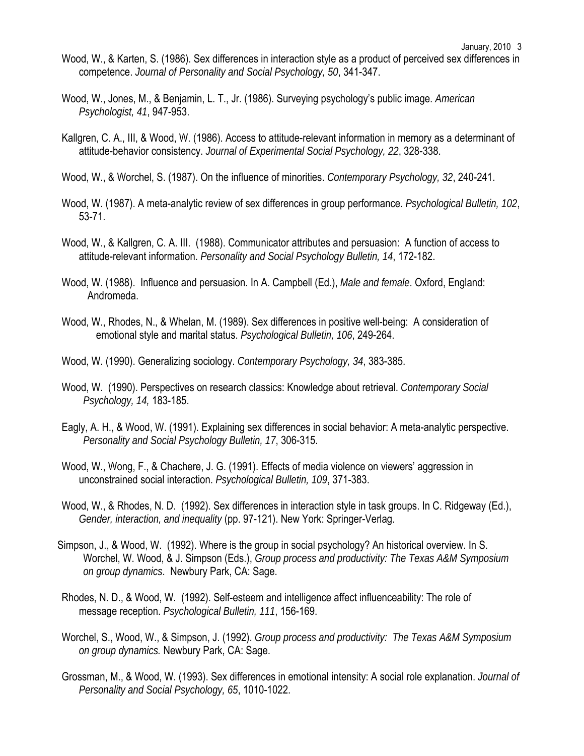- Wood, W., & Karten, S. (1986). Sex differences in interaction style as a product of perceived sex differences in competence. *Journal of Personality and Social Psychology, 50*, 341-347.
- Wood, W., Jones, M., & Benjamin, L. T., Jr. (1986). Surveying psychology's public image. *American Psychologist, 41*, 947-953.
- Kallgren, C. A., III, & Wood, W. (1986). Access to attitude-relevant information in memory as a determinant of attitude-behavior consistency. *Journal of Experimental Social Psychology, 22*, 328-338.
- Wood, W., & Worchel, S. (1987). On the influence of minorities. *Contemporary Psychology, 32*, 240-241.
- Wood, W. (1987). A meta-analytic review of sex differences in group performance. *Psychological Bulletin, 102*, 53-71.
- Wood, W., & Kallgren, C. A. III. (1988). Communicator attributes and persuasion: A function of access to attitude-relevant information. *Personality and Social Psychology Bulletin, 14*, 172-182.
- Wood, W. (1988). Influence and persuasion. In A. Campbell (Ed.), *Male and female*. Oxford, England: Andromeda.
- Wood, W., Rhodes, N., & Whelan, M. (1989). Sex differences in positive well-being: A consideration of emotional style and marital status. *Psychological Bulletin, 106*, 249-264.
- Wood, W. (1990). Generalizing sociology. *Contemporary Psychology, 34*, 383-385.
- Wood, W. (1990). Perspectives on research classics: Knowledge about retrieval. *Contemporary Social Psychology, 14,* 183-185.
- Eagly, A. H., & Wood, W. (1991). Explaining sex differences in social behavior: A meta-analytic perspective. *Personality and Social Psychology Bulletin, 17*, 306-315.
- Wood, W., Wong, F., & Chachere, J. G. (1991). Effects of media violence on viewers' aggression in unconstrained social interaction. *Psychological Bulletin, 109*, 371-383.
- Wood, W., & Rhodes, N. D. (1992). Sex differences in interaction style in task groups. In C. Ridgeway (Ed.), *Gender, interaction, and inequality* (pp. 97-121). New York: Springer-Verlag.
- Simpson, J., & Wood, W. (1992). Where is the group in social psychology? An historical overview. In S. Worchel, W. Wood, & J. Simpson (Eds.), *Group process and productivity: The Texas A&M Symposium on group dynamics*. Newbury Park, CA: Sage.
- Rhodes, N. D., & Wood, W. (1992). Self-esteem and intelligence affect influenceability: The role of message reception. *Psychological Bulletin, 111*, 156-169.
- Worchel, S., Wood, W., & Simpson, J. (1992). *Group process and productivity: The Texas A&M Symposium on group dynamics.* Newbury Park, CA: Sage.
- Grossman, M., & Wood, W. (1993). Sex differences in emotional intensity: A social role explanation. *Journal of Personality and Social Psychology, 65*, 1010-1022.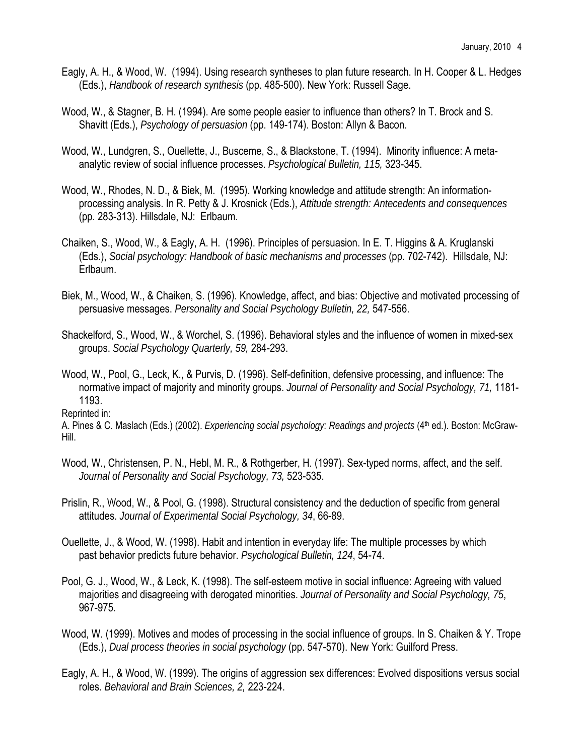- Eagly, A. H., & Wood, W. (1994). Using research syntheses to plan future research. In H. Cooper & L. Hedges (Eds.), *Handbook of research synthesis* (pp. 485-500). New York: Russell Sage.
- Wood, W., & Stagner, B. H. (1994). Are some people easier to influence than others? In T. Brock and S. Shavitt (Eds.), *Psychology of persuasion* (pp. 149-174). Boston: Allyn & Bacon.
- Wood, W., Lundgren, S., Ouellette, J., Busceme, S., & Blackstone, T. (1994). Minority influence: A metaanalytic review of social influence processes. *Psychological Bulletin, 115,* 323-345.
- Wood, W., Rhodes, N. D., & Biek, M. (1995). Working knowledge and attitude strength: An informationprocessing analysis. In R. Petty & J. Krosnick (Eds.), *Attitude strength: Antecedents and consequences* (pp. 283-313). Hillsdale, NJ: Erlbaum.
- Chaiken, S., Wood, W., & Eagly, A. H. (1996). Principles of persuasion. In E. T. Higgins & A. Kruglanski (Eds.), *Social psychology: Handbook of basic mechanisms and processes* (pp. 702-742). Hillsdale, NJ: Erlbaum.
- Biek, M., Wood, W., & Chaiken, S. (1996). Knowledge, affect, and bias: Objective and motivated processing of persuasive messages. *Personality and Social Psychology Bulletin, 22,* 547-556.
- Shackelford, S., Wood, W., & Worchel, S. (1996). Behavioral styles and the influence of women in mixed-sex groups. *Social Psychology Quarterly, 59,* 284-293.
- Wood, W., Pool, G., Leck, K., & Purvis, D. (1996). Self-definition, defensive processing, and influence: The normative impact of majority and minority groups. *Journal of Personality and Social Psychology, 71,* 1181- 1193.

Reprinted in:

A. Pines & C. Maslach (Eds.) (2002). *Experiencing social psychology: Readings and projects* (4<sup>th</sup> ed.). Boston: McGraw-Hill.

- Wood, W., Christensen, P. N., Hebl, M. R., & Rothgerber, H. (1997). Sex-typed norms, affect, and the self. *Journal of Personality and Social Psychology, 73,* 523-535.
- Prislin, R., Wood, W., & Pool, G. (1998). Structural consistency and the deduction of specific from general attitudes. *Journal of Experimental Social Psychology, 34*, 66-89.
- Ouellette, J., & Wood, W. (1998). Habit and intention in everyday life: The multiple processes by which past behavior predicts future behavior. *Psychological Bulletin, 124*, 54-74.
- Pool, G. J., Wood, W., & Leck, K. (1998). The self-esteem motive in social influence: Agreeing with valued majorities and disagreeing with derogated minorities. *Journal of Personality and Social Psychology, 75*, 967-975.
- Wood, W. (1999). Motives and modes of processing in the social influence of groups. In S. Chaiken & Y. Trope (Eds.), *Dual process theories in social psychology* (pp. 547-570). New York: Guilford Press.
- Eagly, A. H., & Wood, W. (1999). The origins of aggression sex differences: Evolved dispositions versus social roles. *Behavioral and Brain Sciences, 2,* 223-224.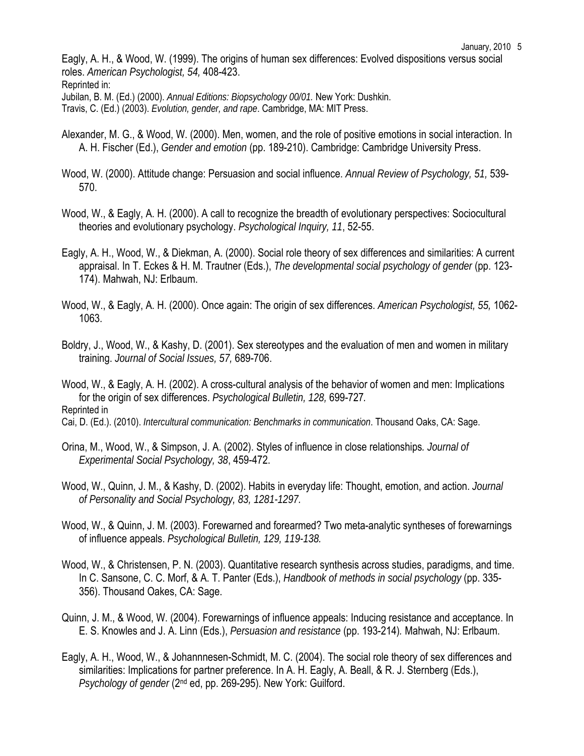Eagly, A. H., & Wood, W. (1999). The origins of human sex differences: Evolved dispositions versus social roles. *American Psychologist, 54,* 408-423. Reprinted in:

Jubilan, B. M. (Ed.) (2000). *Annual Editions: Biopsychology 00/01.* New York: Dushkin.

Travis, C. (Ed.) (2003). *Evolution, gender, and rape*. Cambridge, MA: MIT Press.

- Alexander, M. G., & Wood, W. (2000). Men, women, and the role of positive emotions in social interaction. In A. H. Fischer (Ed.), *Gender and emotion* (pp. 189-210). Cambridge: Cambridge University Press.
- Wood, W. (2000). Attitude change: Persuasion and social influence. *Annual Review of Psychology, 51,* 539- 570.
- Wood, W., & Eagly, A. H. (2000). A call to recognize the breadth of evolutionary perspectives: Sociocultural theories and evolutionary psychology. *Psychological Inquiry, 11*, 52-55.
- Eagly, A. H., Wood, W., & Diekman, A. (2000). Social role theory of sex differences and similarities: A current appraisal. In T. Eckes & H. M. Trautner (Eds.), *The developmental social psychology of gender* (pp. 123- 174). Mahwah, NJ: Erlbaum.
- Wood, W., & Eagly, A. H. (2000). Once again: The origin of sex differences. *American Psychologist, 55,* 1062- 1063.
- Boldry, J., Wood, W., & Kashy, D. (2001). Sex stereotypes and the evaluation of men and women in military training. *Journal of Social Issues, 57,* 689-706.

Wood, W., & Eagly, A. H. (2002). A cross-cultural analysis of the behavior of women and men: Implications for the origin of sex differences. *Psychological Bulletin, 128,* 699-727*.*  Reprinted in

- Cai, D. (Ed.). (2010). *Intercultural communication: Benchmarks in communication*. Thousand Oaks, CA: Sage.
- Orina, M., Wood, W., & Simpson, J. A. (2002). Styles of influence in close relationships*. Journal of Experimental Social Psychology, 38*, 459-472.
- Wood, W., Quinn, J. M., & Kashy, D. (2002). Habits in everyday life: Thought, emotion, and action. *Journal of Personality and Social Psychology, 83, 1281-1297.*
- Wood, W., & Quinn, J. M. (2003). Forewarned and forearmed? Two meta-analytic syntheses of forewarnings of influence appeals. *Psychological Bulletin, 129, 119-138.*
- Wood, W., & Christensen, P. N. (2003). Quantitative research synthesis across studies, paradigms, and time. In C. Sansone, C. C. Morf, & A. T. Panter (Eds.), *Handbook of methods in social psychology* (pp. 335- 356). Thousand Oakes, CA: Sage.
- Quinn, J. M., & Wood, W. (2004). Forewarnings of influence appeals: Inducing resistance and acceptance. In E. S. Knowles and J. A. Linn (Eds.), *Persuasion and resistance* (pp. 193-214)*.* Mahwah, NJ: Erlbaum.
- Eagly, A. H., Wood, W., & Johannnesen-Schmidt, M. C. (2004). The social role theory of sex differences and similarities: Implications for partner preference. In A. H. Eagly, A. Beall, & R. J. Sternberg (Eds.), *Psychology of gender* (2nd ed, pp. 269-295). New York: Guilford.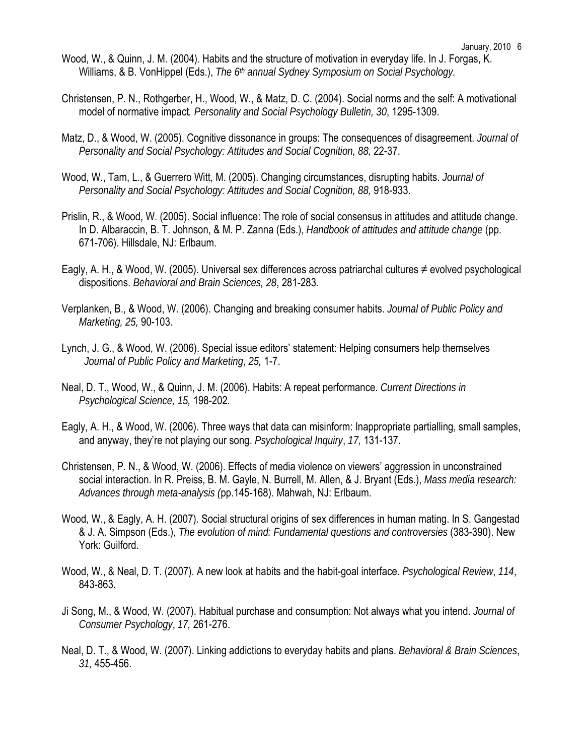- Wood, W., & Quinn, J. M. (2004). Habits and the structure of motivation in everyday life. In J. Forgas, K. Williams, & B. VonHippel (Eds.), *The 6th annual Sydney Symposium on Social Psychology.*
- Christensen, P. N., Rothgerber, H., Wood, W., & Matz, D. C. (2004). Social norms and the self: A motivational model of normative impact*. Personality and Social Psychology Bulletin, 30*, 1295-1309.
- Matz, D., & Wood, W. (2005). Cognitive dissonance in groups: The consequences of disagreement. *Journal of Personality and Social Psychology: Attitudes and Social Cognition, 88,* 22-37.
- Wood, W., Tam, L., & Guerrero Witt, M. (2005). Changing circumstances, disrupting habits. *Journal of Personality and Social Psychology: Attitudes and Social Cognition, 88,* 918-933.
- Prislin, R., & Wood, W. (2005). Social influence: The role of social consensus in attitudes and attitude change. In D. Albaraccin, B. T. Johnson, & M. P. Zanna (Eds.), *Handbook of attitudes and attitude change* (pp. 671-706). Hillsdale, NJ: Erlbaum.
- Eagly, A. H., & Wood, W. (2005). Universal sex differences across patriarchal cultures ≠ evolved psychological dispositions. *Behavioral and Brain Sciences, 28*, 281-283.
- Verplanken, B., & Wood, W. (2006). Changing and breaking consumer habits. *Journal of Public Policy and Marketing, 25,* 90-103.
- Lynch, J. G., & Wood, W. (2006). Special issue editors' statement: Helping consumers help themselves *Journal of Public Policy and Marketing*, *25,* 1-7.
- Neal, D. T., Wood, W., & Quinn, J. M. (2006). Habits: A repeat performance. *Current Directions in Psychological Science, 15,* 198-202*.*
- Eagly, A. H., & Wood, W. (2006). Three ways that data can misinform: Inappropriate partialling, small samples, and anyway, they're not playing our song. *Psychological Inquiry*, *17,* 131-137.
- Christensen, P. N., & Wood, W. (2006). Effects of media violence on viewers' aggression in unconstrained social interaction. In R. Preiss, B. M. Gayle, N. Burrell, M. Allen, & J. Bryant (Eds.), *Mass media research: Advances through meta-analysis (*pp.145-168). Mahwah, NJ: Erlbaum.
- Wood, W., & Eagly, A. H. (2007). Social structural origins of sex differences in human mating. In S. Gangestad & J. A. Simpson (Eds.), *The evolution of mind: Fundamental questions and controversies* (383-390). New York: Guilford.
- Wood, W., & Neal, D. T. (2007). A new look at habits and the habit-goal interface. *Psychological Review*, *114*, 843-863.
- Ji Song, M., & Wood, W. (2007). Habitual purchase and consumption: Not always what you intend. *Journal of Consumer Psychology*, *17,* 261-276.
- Neal, D. T., & Wood, W. (2007). Linking addictions to everyday habits and plans. *Behavioral & Brain Sciences*, *31,* 455-456.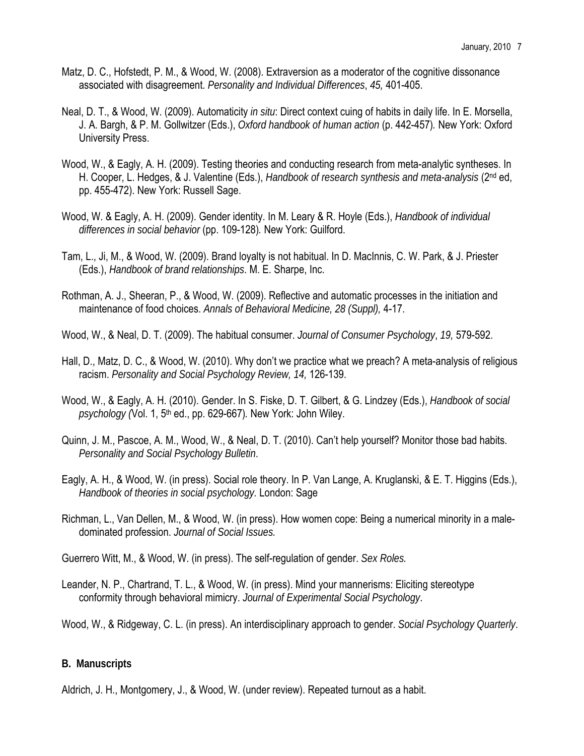- Matz, D. C., Hofstedt, P. M., & Wood, W. (2008). Extraversion as a moderator of the cognitive dissonance associated with disagreement. *Personality and Individual Differences*, *45,* 401-405.
- Neal, D. T., & Wood, W. (2009). Automaticity *in situ*: Direct context cuing of habits in daily life. In E. Morsella, J. A. Bargh, & P. M. Gollwitzer (Eds.), *Oxford handbook of human action* (p. 442-457)*.* New York: Oxford University Press.
- Wood, W., & Eagly, A. H. (2009). Testing theories and conducting research from meta-analytic syntheses. In H. Cooper, L. Hedges, & J. Valentine (Eds.), *Handbook of research synthesis and meta-analysis* (2nd ed, pp. 455-472). New York: Russell Sage.
- Wood, W. & Eagly, A. H. (2009). Gender identity. In M. Leary & R. Hoyle (Eds.), *Handbook of individual differences in social behavior* (pp. 109-128)*.* New York: Guilford.
- Tam, L., Ji, M., & Wood, W. (2009). Brand loyalty is not habitual. In D. MacInnis, C. W. Park, & J. Priester (Eds.), *Handbook of brand relationships*. M. E. Sharpe, Inc.
- Rothman, A. J., Sheeran, P., & Wood, W. (2009). Reflective and automatic processes in the initiation and maintenance of food choices. *Annals of Behavioral Medicine, 28 (Suppl),* 4-17.

Wood, W., & Neal, D. T. (2009). The habitual consumer. *Journal of Consumer Psychology*, *19,* 579-592.

- Hall, D., Matz, D. C., & Wood, W. (2010). Why don't we practice what we preach? A meta-analysis of religious racism. *Personality and Social Psychology Review, 14,* 126-139.
- Wood, W., & Eagly, A. H. (2010). Gender. In S. Fiske, D. T. Gilbert, & G. Lindzey (Eds.), *Handbook of social psychology (*Vol. 1, 5th ed., pp. 629-667)*.* New York: John Wiley.
- Quinn, J. M., Pascoe, A. M., Wood, W., & Neal, D. T. (2010). Can't help yourself? Monitor those bad habits. *Personality and Social Psychology Bulletin*.
- Eagly, A. H., & Wood, W. (in press). Social role theory. In P. Van Lange, A. Kruglanski, & E. T. Higgins (Eds.), *Handbook of theories in social psychology.* London: Sage
- Richman, L., Van Dellen, M., & Wood, W. (in press). How women cope: Being a numerical minority in a maledominated profession. *Journal of Social Issues.*

Guerrero Witt, M., & Wood, W. (in press). The self-regulation of gender. *Sex Roles.* 

- Leander, N. P., Chartrand, T. L., & Wood, W. (in press). Mind your mannerisms: Eliciting stereotype conformity through behavioral mimicry. *Journal of Experimental Social Psychology*.
- Wood, W., & Ridgeway, C. L. (in press). An interdisciplinary approach to gender. *Social Psychology Quarterly*.

# **B. Manuscripts**

Aldrich, J. H., Montgomery, J., & Wood, W. (under review). Repeated turnout as a habit.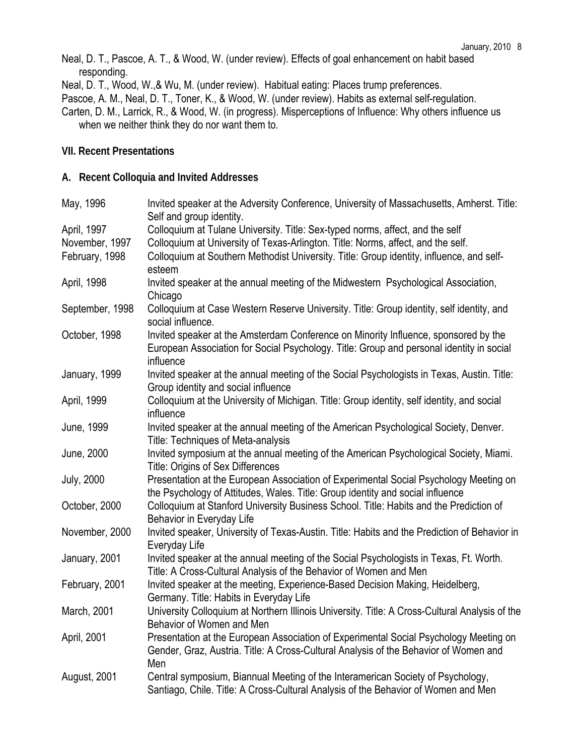Neal, D. T., Pascoe, A. T., & Wood, W. (under review). Effects of goal enhancement on habit based responding.

Neal, D. T., Wood, W.,& Wu, M. (under review). Habitual eating: Places trump preferences.

Pascoe, A. M., Neal, D. T., Toner, K., & Wood, W. (under review). Habits as external self-regulation.

Carten, D. M., Larrick, R., & Wood, W. (in progress). Misperceptions of Influence: Why others influence us when we neither think they do nor want them to.

## **VII. Recent Presentations**

## **A. Recent Colloquia and Invited Addresses**

| May, 1996         | Invited speaker at the Adversity Conference, University of Massachusetts, Amherst. Title:<br>Self and group identity. |
|-------------------|-----------------------------------------------------------------------------------------------------------------------|
| April, 1997       | Colloquium at Tulane University. Title: Sex-typed norms, affect, and the self                                         |
| November, 1997    | Colloquium at University of Texas-Arlington. Title: Norms, affect, and the self.                                      |
| February, 1998    | Colloquium at Southern Methodist University. Title: Group identity, influence, and self-                              |
|                   | esteem                                                                                                                |
| April, 1998       | Invited speaker at the annual meeting of the Midwestern Psychological Association,<br>Chicago                         |
| September, 1998   | Colloquium at Case Western Reserve University. Title: Group identity, self identity, and                              |
|                   | social influence.                                                                                                     |
| October, 1998     | Invited speaker at the Amsterdam Conference on Minority Influence, sponsored by the                                   |
|                   | European Association for Social Psychology. Title: Group and personal identity in social<br>influence                 |
| January, 1999     | Invited speaker at the annual meeting of the Social Psychologists in Texas, Austin. Title:                            |
|                   | Group identity and social influence                                                                                   |
| April, 1999       | Colloquium at the University of Michigan. Title: Group identity, self identity, and social                            |
|                   | influence                                                                                                             |
| June, 1999        | Invited speaker at the annual meeting of the American Psychological Society, Denver.                                  |
|                   | Title: Techniques of Meta-analysis                                                                                    |
| June, 2000        | Invited symposium at the annual meeting of the American Psychological Society, Miami.                                 |
|                   | Title: Origins of Sex Differences                                                                                     |
| <b>July, 2000</b> | Presentation at the European Association of Experimental Social Psychology Meeting on                                 |
|                   | the Psychology of Attitudes, Wales. Title: Group identity and social influence                                        |
| October, 2000     | Colloquium at Stanford University Business School. Title: Habits and the Prediction of                                |
|                   | Behavior in Everyday Life                                                                                             |
| November, 2000    | Invited speaker, University of Texas-Austin. Title: Habits and the Prediction of Behavior in                          |
|                   | Everyday Life                                                                                                         |
| January, 2001     | Invited speaker at the annual meeting of the Social Psychologists in Texas, Ft. Worth.                                |
|                   | Title: A Cross-Cultural Analysis of the Behavior of Women and Men                                                     |
| February, 2001    | Invited speaker at the meeting, Experience-Based Decision Making, Heidelberg,                                         |
|                   | Germany. Title: Habits in Everyday Life                                                                               |
| March, 2001       | University Colloquium at Northern Illinois University. Title: A Cross-Cultural Analysis of the                        |
|                   | Behavior of Women and Men                                                                                             |
| April, 2001       | Presentation at the European Association of Experimental Social Psychology Meeting on                                 |
|                   | Gender, Graz, Austria. Title: A Cross-Cultural Analysis of the Behavior of Women and                                  |
|                   | Men                                                                                                                   |
| August, 2001      | Central symposium, Biannual Meeting of the Interamerican Society of Psychology,                                       |
|                   | Santiago, Chile. Title: A Cross-Cultural Analysis of the Behavior of Women and Men                                    |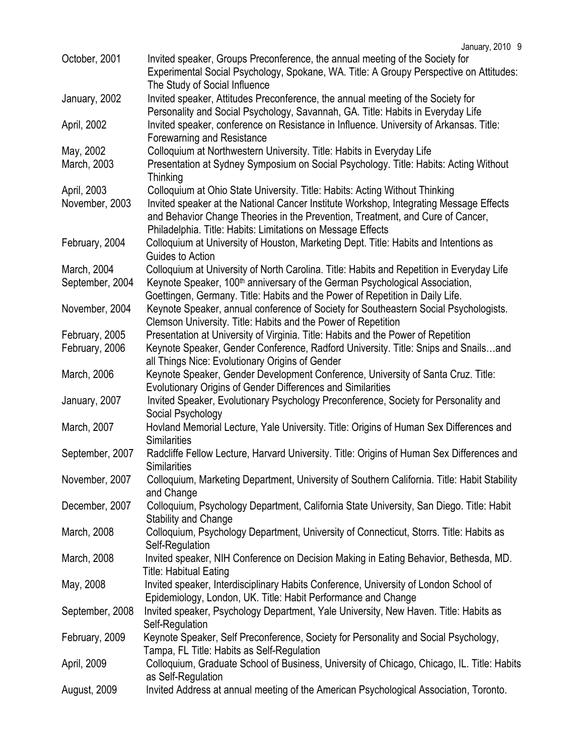| October, 2001   | Invited speaker, Groups Preconference, the annual meeting of the Society for<br>Experimental Social Psychology, Spokane, WA. Title: A Groupy Perspective on Attitudes:                                                                  |
|-----------------|-----------------------------------------------------------------------------------------------------------------------------------------------------------------------------------------------------------------------------------------|
|                 | The Study of Social Influence                                                                                                                                                                                                           |
| January, 2002   | Invited speaker, Attitudes Preconference, the annual meeting of the Society for                                                                                                                                                         |
|                 | Personality and Social Psychology, Savannah, GA. Title: Habits in Everyday Life                                                                                                                                                         |
| April, 2002     | Invited speaker, conference on Resistance in Influence. University of Arkansas. Title:                                                                                                                                                  |
|                 | Forewarning and Resistance                                                                                                                                                                                                              |
| May, 2002       | Colloquium at Northwestern University. Title: Habits in Everyday Life                                                                                                                                                                   |
| March, 2003     | Presentation at Sydney Symposium on Social Psychology. Title: Habits: Acting Without<br>Thinking                                                                                                                                        |
| April, 2003     | Colloquium at Ohio State University. Title: Habits: Acting Without Thinking                                                                                                                                                             |
| November, 2003  | Invited speaker at the National Cancer Institute Workshop, Integrating Message Effects<br>and Behavior Change Theories in the Prevention, Treatment, and Cure of Cancer,<br>Philadelphia. Title: Habits: Limitations on Message Effects |
|                 |                                                                                                                                                                                                                                         |
| February, 2004  | Colloquium at University of Houston, Marketing Dept. Title: Habits and Intentions as                                                                                                                                                    |
|                 | Guides to Action                                                                                                                                                                                                                        |
| March, 2004     | Colloquium at University of North Carolina. Title: Habits and Repetition in Everyday Life                                                                                                                                               |
| September, 2004 | Keynote Speaker, 100 <sup>th</sup> anniversary of the German Psychological Association,                                                                                                                                                 |
|                 | Goettingen, Germany. Title: Habits and the Power of Repetition in Daily Life.                                                                                                                                                           |
| November, 2004  | Keynote Speaker, annual conference of Society for Southeastern Social Psychologists.                                                                                                                                                    |
|                 | Clemson University. Title: Habits and the Power of Repetition                                                                                                                                                                           |
| February, 2005  | Presentation at University of Virginia. Title: Habits and the Power of Repetition                                                                                                                                                       |
| February, 2006  | Keynote Speaker, Gender Conference, Radford University. Title: Snips and Snailsand                                                                                                                                                      |
|                 | all Things Nice: Evolutionary Origins of Gender                                                                                                                                                                                         |
| March, 2006     | Keynote Speaker, Gender Development Conference, University of Santa Cruz. Title:                                                                                                                                                        |
|                 | Evolutionary Origins of Gender Differences and Similarities                                                                                                                                                                             |
| January, 2007   | Invited Speaker, Evolutionary Psychology Preconference, Society for Personality and                                                                                                                                                     |
|                 | Social Psychology                                                                                                                                                                                                                       |
| March, 2007     | Hovland Memorial Lecture, Yale University. Title: Origins of Human Sex Differences and                                                                                                                                                  |
|                 | Similarities                                                                                                                                                                                                                            |
| September, 2007 | Radcliffe Fellow Lecture, Harvard University. Title: Origins of Human Sex Differences and                                                                                                                                               |
|                 | <b>Similarities</b>                                                                                                                                                                                                                     |
| November, 2007  | Colloquium, Marketing Department, University of Southern California. Title: Habit Stability<br>and Change                                                                                                                               |
| December, 2007  | Colloquium, Psychology Department, California State University, San Diego. Title: Habit<br><b>Stability and Change</b>                                                                                                                  |
| March, 2008     | Colloquium, Psychology Department, University of Connecticut, Storrs. Title: Habits as<br>Self-Regulation                                                                                                                               |
| March, 2008     | Invited speaker, NIH Conference on Decision Making in Eating Behavior, Bethesda, MD.<br><b>Title: Habitual Eating</b>                                                                                                                   |
| May, 2008       | Invited speaker, Interdisciplinary Habits Conference, University of London School of                                                                                                                                                    |
|                 | Epidemiology, London, UK. Title: Habit Performance and Change                                                                                                                                                                           |
| September, 2008 | Invited speaker, Psychology Department, Yale University, New Haven. Title: Habits as                                                                                                                                                    |
|                 | Self-Regulation                                                                                                                                                                                                                         |
| February, 2009  | Keynote Speaker, Self Preconference, Society for Personality and Social Psychology,                                                                                                                                                     |
|                 | Tampa, FL Title: Habits as Self-Regulation                                                                                                                                                                                              |
| April, 2009     | Colloquium, Graduate School of Business, University of Chicago, Chicago, IL. Title: Habits                                                                                                                                              |
|                 | as Self-Regulation                                                                                                                                                                                                                      |
| August, 2009    | Invited Address at annual meeting of the American Psychological Association, Toronto.                                                                                                                                                   |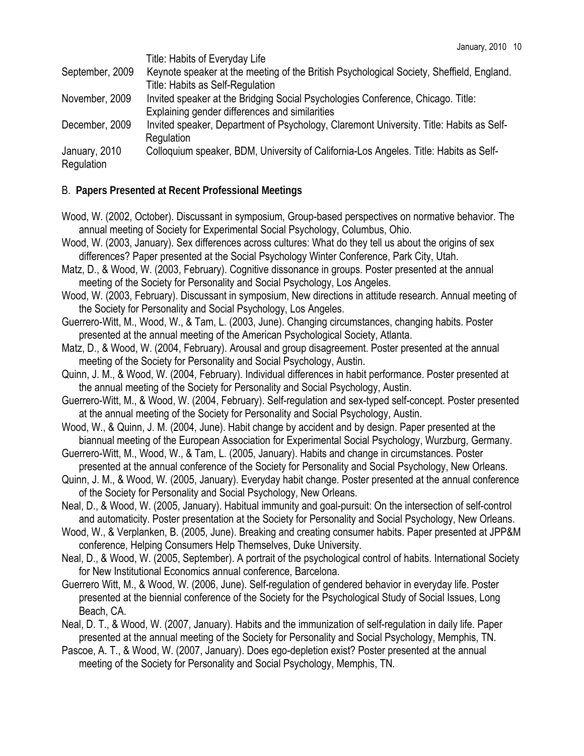| September, 2009             | Title: Habits of Everyday Life<br>Keynote speaker at the meeting of the British Psychological Society, Sheffield, England. |
|-----------------------------|----------------------------------------------------------------------------------------------------------------------------|
|                             | Title: Habits as Self-Regulation                                                                                           |
| November, 2009              | Invited speaker at the Bridging Social Psychologies Conference, Chicago. Title:                                            |
|                             | Explaining gender differences and similarities                                                                             |
| December, 2009              | Invited speaker, Department of Psychology, Claremont University. Title: Habits as Self-                                    |
|                             | Regulation                                                                                                                 |
| January, 2010<br>Regulation | Colloquium speaker, BDM, University of California-Los Angeles. Title: Habits as Self-                                      |
|                             |                                                                                                                            |

# B. **Papers Presented at Recent Professional Meetings**

- Wood, W. (2002, October). Discussant in symposium, Group-based perspectives on normative behavior. The annual meeting of Society for Experimental Social Psychology, Columbus, Ohio.
- Wood, W. (2003, January). Sex differences across cultures: What do they tell us about the origins of sex differences? Paper presented at the Social Psychology Winter Conference, Park City, Utah.
- Matz, D., & Wood, W. (2003, February). Cognitive dissonance in groups. Poster presented at the annual meeting of the Society for Personality and Social Psychology, Los Angeles.
- Wood, W. (2003, February). Discussant in symposium, New directions in attitude research. Annual meeting of the Society for Personality and Social Psychology, Los Angeles.
- Guerrero-Witt, M., Wood, W., & Tam, L. (2003, June). Changing circumstances, changing habits. Poster presented at the annual meeting of the American Psychological Society, Atlanta.
- Matz, D., & Wood, W. (2004, February). Arousal and group disagreement. Poster presented at the annual meeting of the Society for Personality and Social Psychology, Austin.
- Quinn, J. M., & Wood, W. (2004, February). Individual differences in habit performance. Poster presented at the annual meeting of the Society for Personality and Social Psychology, Austin.
- Guerrero-Witt, M., & Wood, W. (2004, February). Self-regulation and sex-typed self-concept. Poster presented at the annual meeting of the Society for Personality and Social Psychology, Austin.
- Wood, W., & Quinn, J. M. (2004, June). Habit change by accident and by design. Paper presented at the biannual meeting of the European Association for Experimental Social Psychology, Wurzburg, Germany.
- Guerrero-Witt, M., Wood, W., & Tam, L. (2005, January). Habits and change in circumstances. Poster presented at the annual conference of the Society for Personality and Social Psychology, New Orleans.
- Quinn, J. M., & Wood, W. (2005, January). Everyday habit change. Poster presented at the annual conference of the Society for Personality and Social Psychology, New Orleans.
- Neal, D., & Wood, W. (2005, January). Habitual immunity and goal-pursuit: On the intersection of self-control and automaticity. Poster presentation at the Society for Personality and Social Psychology, New Orleans.
- Wood, W., & Verplanken, B. (2005, June). Breaking and creating consumer habits. Paper presented at JPP&M conference, Helping Consumers Help Themselves, Duke University.
- Neal, D., & Wood, W. (2005, September). A portrait of the psychological control of habits. International Society for New Institutional Economics annual conference, Barcelona.
- Guerrero Witt, M., & Wood, W. (2006, June). Self-regulation of gendered behavior in everyday life. Poster presented at the biennial conference of the Society for the Psychological Study of Social Issues, Long Beach, CA.
- Neal, D. T., & Wood, W. (2007, January). Habits and the immunization of self-regulation in daily life. Paper presented at the annual meeting of the Society for Personality and Social Psychology, Memphis, TN.
- Pascoe, A. T., & Wood, W. (2007, January). Does ego-depletion exist? Poster presented at the annual meeting of the Society for Personality and Social Psychology, Memphis, TN.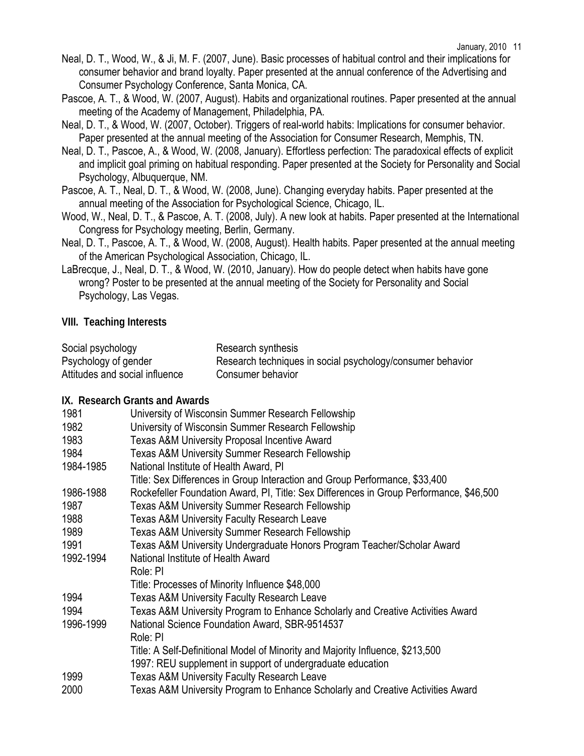- Neal, D. T., Wood, W., & Ji, M. F. (2007, June). Basic processes of habitual control and their implications for consumer behavior and brand loyalty. Paper presented at the annual conference of the Advertising and Consumer Psychology Conference, Santa Monica, CA.
- Pascoe, A. T., & Wood, W. (2007, August). Habits and organizational routines. Paper presented at the annual meeting of the Academy of Management, Philadelphia, PA.
- Neal, D. T., & Wood, W. (2007, October). Triggers of real-world habits: Implications for consumer behavior. Paper presented at the annual meeting of the Association for Consumer Research, Memphis, TN.
- Neal, D. T., Pascoe, A., & Wood, W. (2008, January). Effortless perfection: The paradoxical effects of explicit and implicit goal priming on habitual responding. Paper presented at the Society for Personality and Social Psychology, Albuquerque, NM.
- Pascoe, A. T., Neal, D. T., & Wood, W. (2008, June). Changing everyday habits. Paper presented at the annual meeting of the Association for Psychological Science, Chicago, IL.
- Wood, W., Neal, D. T., & Pascoe, A. T. (2008, July). A new look at habits. Paper presented at the International Congress for Psychology meeting, Berlin, Germany.
- Neal, D. T., Pascoe, A. T., & Wood, W. (2008, August). Health habits. Paper presented at the annual meeting of the American Psychological Association, Chicago, IL.
- LaBrecque, J., Neal, D. T., & Wood, W. (2010, January). How do people detect when habits have gone wrong? Poster to be presented at the annual meeting of the Society for Personality and Social Psychology, Las Vegas.

#### **VIII. Teaching Interests**

| Social psychology              | Research synthesis                                         |
|--------------------------------|------------------------------------------------------------|
| Psychology of gender           | Research techniques in social psychology/consumer behavior |
| Attitudes and social influence | Consumer behavior                                          |

#### **IX. Research Grants and Awards**

| 1981      | University of Wisconsin Summer Research Fellowship                                      |
|-----------|-----------------------------------------------------------------------------------------|
| 1982      | University of Wisconsin Summer Research Fellowship                                      |
| 1983      | <b>Texas A&amp;M University Proposal Incentive Award</b>                                |
| 1984      | Texas A&M University Summer Research Fellowship                                         |
| 1984-1985 | National Institute of Health Award, PI                                                  |
|           | Title: Sex Differences in Group Interaction and Group Performance, \$33,400             |
| 1986-1988 | Rockefeller Foundation Award, PI, Title: Sex Differences in Group Performance, \$46,500 |
| 1987      | <b>Texas A&amp;M University Summer Research Fellowship</b>                              |
| 1988      | <b>Texas A&amp;M University Faculty Research Leave</b>                                  |
| 1989      | <b>Texas A&amp;M University Summer Research Fellowship</b>                              |
| 1991      | Texas A&M University Undergraduate Honors Program Teacher/Scholar Award                 |
| 1992-1994 | National Institute of Health Award                                                      |
|           | Role: PI                                                                                |
|           | Title: Processes of Minority Influence \$48,000                                         |
| 1994      | <b>Texas A&amp;M University Faculty Research Leave</b>                                  |
| 1994      | Texas A&M University Program to Enhance Scholarly and Creative Activities Award         |
| 1996-1999 | National Science Foundation Award, SBR-9514537                                          |
|           | Role: PI                                                                                |
|           | Title: A Self-Definitional Model of Minority and Majority Influence, \$213,500          |
|           | 1997: REU supplement in support of undergraduate education                              |
| 1999      | <b>Texas A&amp;M University Faculty Research Leave</b>                                  |
| 2000      | Texas A&M University Program to Enhance Scholarly and Creative Activities Award         |